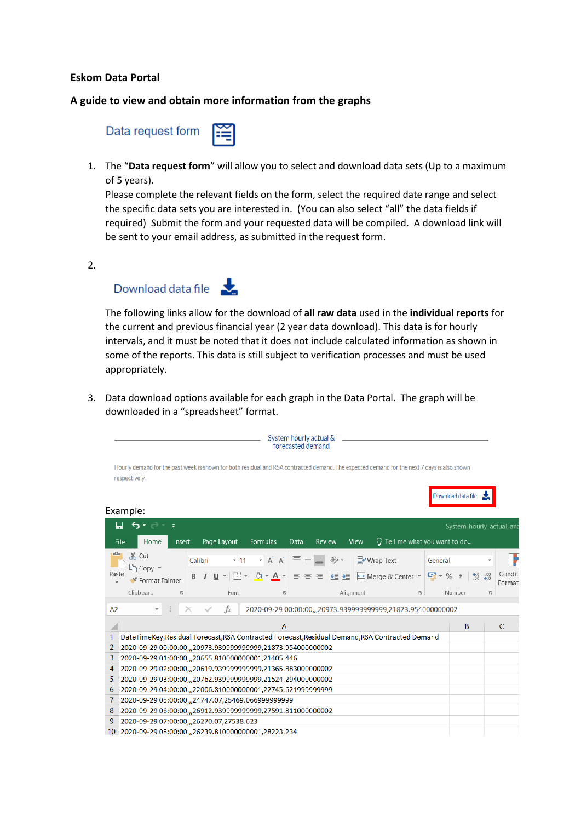## **Eskom Data Portal**

## **A guide to view and obtain more information from the graphs**

| Data request form $\sum_{i=1}^{\infty}$ |  |
|-----------------------------------------|--|
|-----------------------------------------|--|

1. The "**Data request form**" will allow you to select and download data sets (Up to a maximum of 5 years).

Please complete the relevant fields on the form, select the required date range and select the specific data sets you are interested in. (You can also select "all" the data fields if required) Submit the form and your requested data will be compiled. A download link will be sent to your email address, as submitted in the request form.

2.



The following links allow for the download of **all raw data** used in the **individual reports** for the current and previous financial year (2 year data download). This data is for hourly intervals, and it must be noted that it does not include calculated information as shown in some of the reports. This data is still subject to verification processes and must be used appropriately.

3. Data download options available for each graph in the Data Portal. The graph will be downloaded in a "spreadsheet" format.

|               |                                                                                                                                             |         |             |                                                              | System hourly actual &<br>forecasted demand |                                                                                                                                                                       |           |                                        |    |         |                    |                         |    |                          |
|---------------|---------------------------------------------------------------------------------------------------------------------------------------------|---------|-------------|--------------------------------------------------------------|---------------------------------------------|-----------------------------------------------------------------------------------------------------------------------------------------------------------------------|-----------|----------------------------------------|----|---------|--------------------|-------------------------|----|--------------------------|
| respectively. | Hourly demand for the past week is shown for both residual and RSA contracted demand. The expected demand for the next 7 days is also shown |         |             |                                                              |                                             |                                                                                                                                                                       |           |                                        |    |         |                    |                         |    |                          |
|               |                                                                                                                                             |         |             |                                                              |                                             |                                                                                                                                                                       |           |                                        |    |         | Download data file |                         |    |                          |
| Example:      |                                                                                                                                             |         |             |                                                              |                                             |                                                                                                                                                                       |           |                                        |    |         |                    |                         |    |                          |
|               | $\epsilon$<br>$\overline{\ast}$                                                                                                             |         |             |                                                              |                                             |                                                                                                                                                                       |           |                                        |    |         |                    |                         |    | System_hourly_actual_and |
| File          | Home<br>Insert                                                                                                                              |         | Page Layout | Formulas                                                     | Data                                        | Review                                                                                                                                                                | View      | $\bigcirc$ Tell me what you want to do |    |         |                    |                         |    |                          |
|               | $X$ Cut<br>में⊟ Copy ।                                                                                                                      | Calibri | $-111$      | $ A$ <sup><math>A</math></sup>                               |                                             | $\equiv \equiv \equiv  \gg$                                                                                                                                           |           | i Wrap Text                            |    | General |                    |                         |    |                          |
| Paste         | <b>■ Format Painter</b>                                                                                                                     |         | $U -$       |                                                              |                                             | $\left \mathbf{0}\right  \cdot \mathbf{A} \cdot \mathbf{e}$ = $\equiv$ $\equiv$ $\equiv$ $\equiv$ $\equiv$ $\equiv$ Merge & Center $\sim$ $\sim$ $\sim$ $\sim$ $\sim$ |           |                                        |    |         |                    | $60.00$<br>$0.00 + 0.0$ |    | Conditi<br>Format        |
|               | Clipboard<br>$\overline{\mathbb{F}_2}$                                                                                                      |         | Font        |                                                              | 反                                           |                                                                                                                                                                       | Alignment |                                        | Б. |         | Number             |                         | 厅. |                          |
| A2            |                                                                                                                                             |         | fx          | 2020-09-29 00:00:00,,,20973.9399999999999,21873.954000000002 |                                             |                                                                                                                                                                       |           |                                        |    |         |                    |                         |    |                          |
|               |                                                                                                                                             |         |             |                                                              | Α                                           |                                                                                                                                                                       |           |                                        |    |         |                    | B                       |    | C                        |
| 1             | DateTimeKey,Residual Forecast,RSA Contracted Forecast,Residual Demand,RSA Contracted Demand                                                 |         |             |                                                              |                                             |                                                                                                                                                                       |           |                                        |    |         |                    |                         |    |                          |
| 2             | 2020-09-29 00:00:00,,,20973.939999999999,21873.954000000002                                                                                 |         |             |                                                              |                                             |                                                                                                                                                                       |           |                                        |    |         |                    |                         |    |                          |
| 3             | 2020-09-29 01:00:00, , 20655.810000000001, 21405.446                                                                                        |         |             |                                                              |                                             |                                                                                                                                                                       |           |                                        |    |         |                    |                         |    |                          |
| 4             | 2020-09-29 02:00:00,,,20619.9399999999999,21365.883000000002                                                                                |         |             |                                                              |                                             |                                                                                                                                                                       |           |                                        |    |         |                    |                         |    |                          |
| 5             | 2020-09-29 03:00:00,,,20762.939999999999,21524.294000000002                                                                                 |         |             |                                                              |                                             |                                                                                                                                                                       |           |                                        |    |         |                    |                         |    |                          |
| 6             | 2020-09-29 04:00:00, ,22006.810000000001,22745.621999999999                                                                                 |         |             |                                                              |                                             |                                                                                                                                                                       |           |                                        |    |         |                    |                         |    |                          |
| 7             | 2020-09-29 05:00:00, ,24747.07, 25469.066999999999                                                                                          |         |             |                                                              |                                             |                                                                                                                                                                       |           |                                        |    |         |                    |                         |    |                          |
| 8             | 2020-09-29 06:00:00,,,26912.939999999999,27591.811000000002                                                                                 |         |             |                                                              |                                             |                                                                                                                                                                       |           |                                        |    |         |                    |                         |    |                          |
| 9             | 2020-09-29 07:00:00,,,26270.07,27538.623                                                                                                    |         |             |                                                              |                                             |                                                                                                                                                                       |           |                                        |    |         |                    |                         |    |                          |
| 10            | 2020-09-29 08:00:00, , 26239.810000000001, 28223.234                                                                                        |         |             |                                                              |                                             |                                                                                                                                                                       |           |                                        |    |         |                    |                         |    |                          |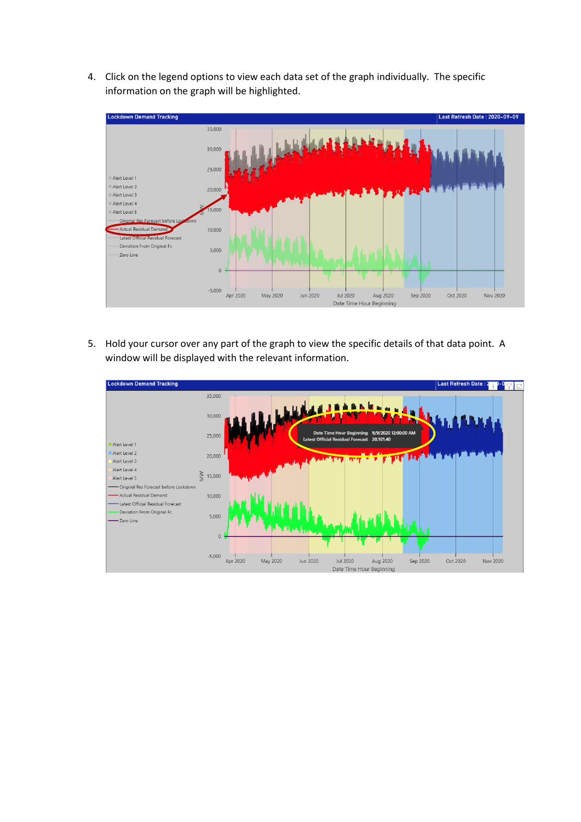4. Click on the legend options to view each data set of the graph individually. The specific information on the graph will be highlighted.



5. Hold your cursor over any part of the graph to view the specific details of that data point. A window will be displayed with the relevant information.

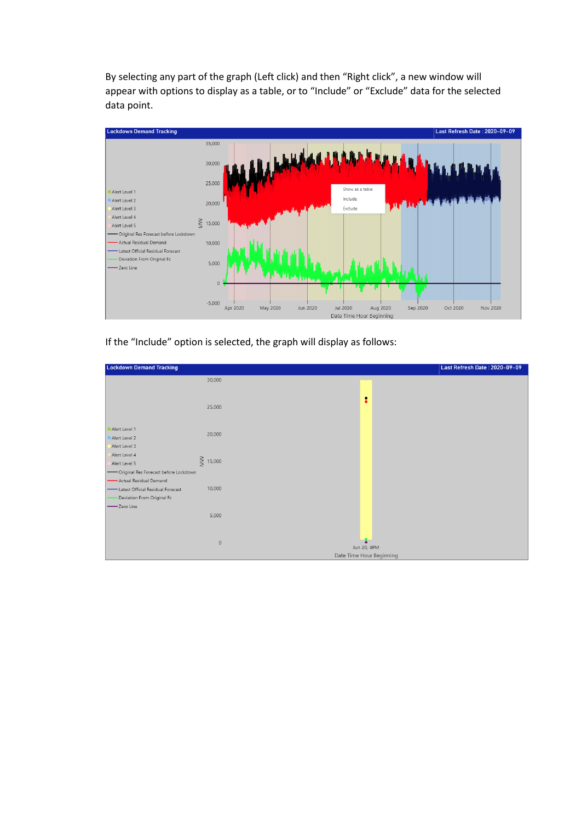By selecting any part of the graph (Left click) and then "Right click", a new window will appear with options to display as a table, or to "Include" or "Exclude" data for the selected data point.



If the "Include" option is selected, the graph will display as follows:

| <b>Lockdown Demand Tracking</b>                                                                             | Last Refresh Date: 2020-09-09                          |
|-------------------------------------------------------------------------------------------------------------|--------------------------------------------------------|
| 30,000                                                                                                      |                                                        |
| 25,000                                                                                                      | :                                                      |
| Alert Level 1<br>20,000<br>Alert Level 2                                                                    |                                                        |
| Alert Level 3<br>Alert Level 4<br>$\geq$ 15,000<br>Alert Level 5<br>- Original Res Forecast before Lockdown |                                                        |
| - Actual Residual Demand<br>10,000<br>- Latest Official Residual Forecast<br>Deviation From Original Fc     |                                                        |
| Zero Line                                                                                                   | 5,000                                                  |
|                                                                                                             | $\mathbb O$<br>Jun 20, 4PM<br>Date Time Hour Beginning |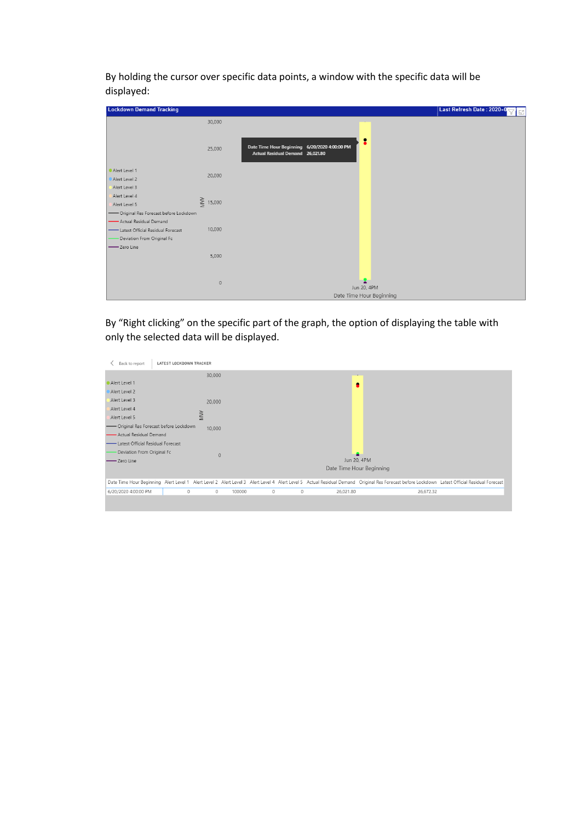By holding the cursor over specific data points, a window with the specific data will be displayed:

| <b>Lockdown Demand Tracking</b>         |               |                                                                                        | Last Refresh Date: 2020-0<br>TΕ |
|-----------------------------------------|---------------|----------------------------------------------------------------------------------------|---------------------------------|
|                                         | 30,000        |                                                                                        |                                 |
|                                         | 25,000        | 2<br>Date Time Hour Beginning 6/20/2020 4:00:00 PM<br>Actual Residual Demand 26,021.80 |                                 |
| Alert Level 1                           |               |                                                                                        |                                 |
| Alert Level 2                           | 20,000        |                                                                                        |                                 |
| Alert Level 3                           |               |                                                                                        |                                 |
| Alert Level 4<br>Alert Level 5          | $\geq$ 15,000 |                                                                                        |                                 |
| - Original Res Forecast before Lockdown |               |                                                                                        |                                 |
| - Actual Residual Demand                |               |                                                                                        |                                 |
| - Latest Official Residual Forecast     | 10,000        |                                                                                        |                                 |
| Deviation From Original Fc              |               |                                                                                        |                                 |
| Zero Line                               |               |                                                                                        |                                 |
|                                         | 5,000         |                                                                                        |                                 |
|                                         |               |                                                                                        |                                 |
|                                         | $\circ$       | Jun 20, 4PM                                                                            |                                 |
|                                         |               | Date Time Hour Beginning                                                               |                                 |

By "Right clicking" on the specific part of the graph, the option of displaying the table with only the selected data will be displayed.

| Back to report                         | <b>LATEST LOCKDOWN TRACKER</b> |           |        |         |         |           |                                                                                                                                                                                               |  |
|----------------------------------------|--------------------------------|-----------|--------|---------|---------|-----------|-----------------------------------------------------------------------------------------------------------------------------------------------------------------------------------------------|--|
|                                        |                                | 30,000    |        |         |         |           |                                                                                                                                                                                               |  |
| Alert Level 1                          |                                |           |        |         |         |           | ٠                                                                                                                                                                                             |  |
| Alert Level 2                          |                                |           |        |         |         |           |                                                                                                                                                                                               |  |
| Alert Level 3                          |                                | 20,000    |        |         |         |           |                                                                                                                                                                                               |  |
| Alert Level 4                          |                                |           |        |         |         |           |                                                                                                                                                                                               |  |
| Alert Level 5                          |                                | <b>MW</b> |        |         |         |           |                                                                                                                                                                                               |  |
| -Original Res Forecast before Lockdown |                                | 10,000    |        |         |         |           |                                                                                                                                                                                               |  |
| - Actual Residual Demand               |                                |           |        |         |         |           |                                                                                                                                                                                               |  |
| - Latest Official Residual Forecast    |                                |           |        |         |         |           |                                                                                                                                                                                               |  |
| Deviation From Original Fc             |                                | $\Omega$  |        |         |         |           | ►                                                                                                                                                                                             |  |
| -Zero Line                             |                                |           |        |         |         |           | Jun 20, 4PM                                                                                                                                                                                   |  |
|                                        |                                |           |        |         |         |           | Date Time Hour Beginning                                                                                                                                                                      |  |
|                                        |                                |           |        |         |         |           |                                                                                                                                                                                               |  |
|                                        |                                |           |        |         |         |           | Date Time Hour Beginning Alert Level 1 Alert Level 2 Alert Level 3 Alert Level 4 Alert Level 5 Actual Residual Demand Original Res Forecast before Lockdown Latest Official Residual Forecast |  |
| 6/20/2020 4:00:00 PM                   | $\circ$                        | 0         | 100000 | $\circ$ | $\circ$ | 26,021.80 | 26,672.32                                                                                                                                                                                     |  |
|                                        |                                |           |        |         |         |           |                                                                                                                                                                                               |  |